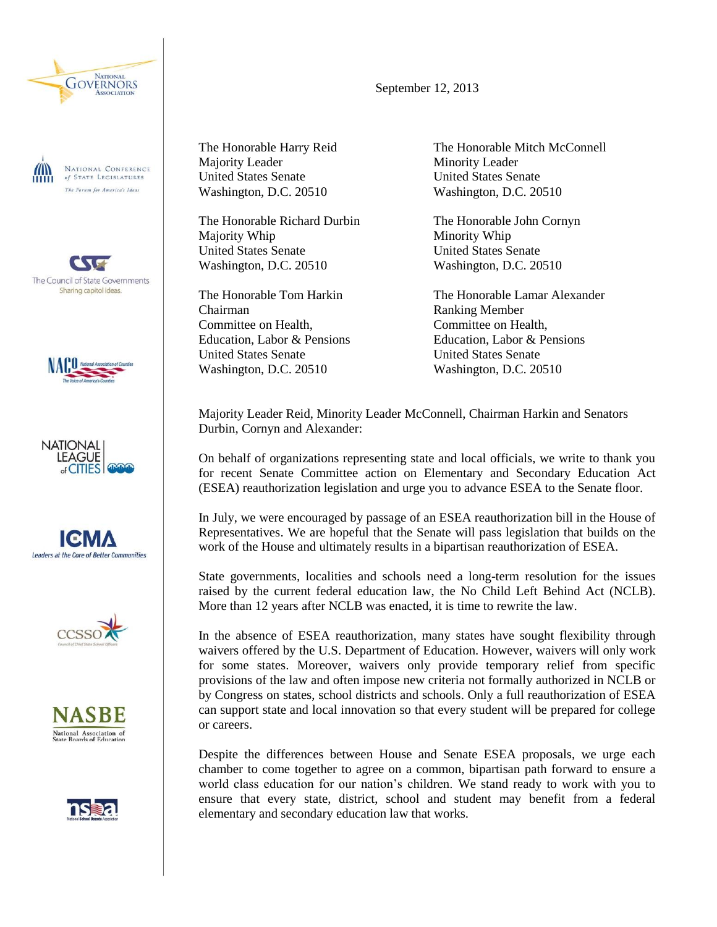

Am NATIONAL CONFERENCE<br>of State Legislatures The Forum for America's Ideas

The Council of State Governments Sharing capitol ideas.













The Honorable Harry Reid Majority Leader United States Senate Washington, D.C. 20510

The Honorable Richard Durbin Majority Whip United States Senate Washington, D.C. 20510

The Honorable Tom Harkin Chairman Committee on Health, Education, Labor & Pensions United States Senate Washington, D.C. 20510

The Honorable Mitch McConnell Minority Leader United States Senate Washington, D.C. 20510

The Honorable John Cornyn Minority Whip United States Senate Washington, D.C. 20510

The Honorable Lamar Alexander Ranking Member Committee on Health, Education, Labor & Pensions United States Senate Washington, D.C. 20510

Majority Leader Reid, Minority Leader McConnell, Chairman Harkin and Senators Durbin, Cornyn and Alexander:

On behalf of organizations representing state and local officials, we write to thank you for recent Senate Committee action on Elementary and Secondary Education Act (ESEA) reauthorization legislation and urge you to advance ESEA to the Senate floor.

In July, we were encouraged by passage of an ESEA reauthorization bill in the House of Representatives. We are hopeful that the Senate will pass legislation that builds on the work of the House and ultimately results in a bipartisan reauthorization of ESEA.

State governments, localities and schools need a long-term resolution for the issues raised by the current federal education law, the No Child Left Behind Act (NCLB). More than 12 years after NCLB was enacted, it is time to rewrite the law.

In the absence of ESEA reauthorization, many states have sought flexibility through waivers offered by the U.S. Department of Education. However, waivers will only work for some states. Moreover, waivers only provide temporary relief from specific provisions of the law and often impose new criteria not formally authorized in NCLB or by Congress on states, school districts and schools. Only a full reauthorization of ESEA can support state and local innovation so that every student will be prepared for college or careers.

Despite the differences between House and Senate ESEA proposals, we urge each chamber to come together to agree on a common, bipartisan path forward to ensure a world class education for our nation's children. We stand ready to work with you to ensure that every state, district, school and student may benefit from a federal elementary and secondary education law that works.

September 12, 2013